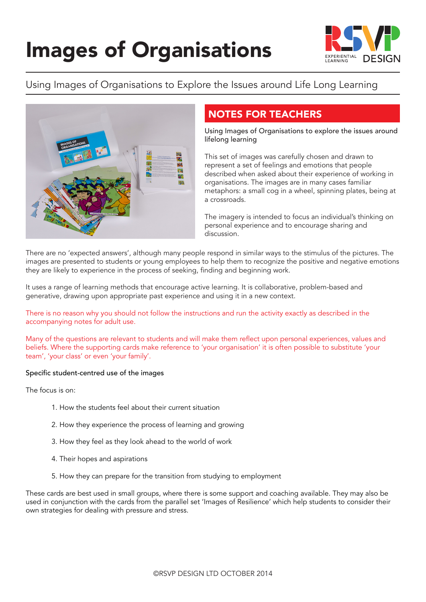

## Using Images of Organisations to Explore the Issues around Life Long Learning



## NOTES FOR TEACHERS

Using Images of Organisations to explore the issues around lifelong learning

This set of images was carefully chosen and drawn to represent a set of feelings and emotions that people described when asked about their experience of working in organisations. The images are in many cases familiar metaphors: a small cog in a wheel, spinning plates, being at a crossroads.

The imagery is intended to focus an individual's thinking on personal experience and to encourage sharing and discussion.

There are no 'expected answers', although many people respond in similar ways to the stimulus of the pictures. The images are presented to students or young employees to help them to recognize the positive and negative emotions they are likely to experience in the process of seeking, finding and beginning work.

It uses a range of learning methods that encourage active learning. It is collaborative, problem-based and generative, drawing upon appropriate past experience and using it in a new context.

There is no reason why you should not follow the instructions and run the activity exactly as described in the accompanying notes for adult use.

Many of the questions are relevant to students and will make them reflect upon personal experiences, values and beliefs. Where the supporting cards make reference to 'your organisation' it is often possible to substitute 'your team', 'your class' or even 'your family'.

#### Specific student-centred use of the images

The focus is on:

- 1. How the students feel about their current situation
- 2. How they experience the process of learning and growing
- 3. How they feel as they look ahead to the world of work
- 4. Their hopes and aspirations
- 5. How they can prepare for the transition from studying to employment

These cards are best used in small groups, where there is some support and coaching available. They may also be used in conjunction with the cards from the parallel set 'Images of Resilience' which help students to consider their own strategies for dealing with pressure and stress.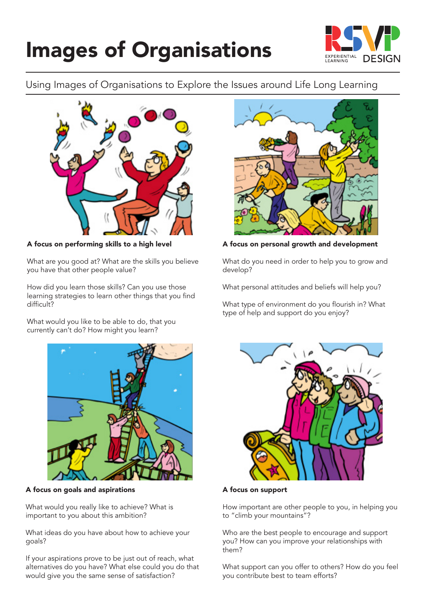

## Using Images of Organisations to Explore the Issues around Life Long Learning



A focus on performing skills to a high level

What are you good at? What are the skills you believe you have that other people value?

How did you learn those skills? Can you use those learning strategies to learn other things that you find difficult?

What would you like to be able to do, that you currently can't do? How might you learn?



A focus on goals and aspirations

What would you really like to achieve? What is important to you about this ambition?

What ideas do you have about how to achieve your goals?

If your aspirations prove to be just out of reach, what alternatives do you have? What else could you do that would give you the same sense of satisfaction?



A focus on personal growth and development

What do you need in order to help you to grow and develop?

What personal attitudes and beliefs will help you?

What type of environment do you flourish in? What type of help and support do you enjoy?



A focus on support

How important are other people to you, in helping you to "climb your mountains"?

Who are the best people to encourage and support you? How can you improve your relationships with them?

What support can you offer to others? How do you feel you contribute best to team efforts?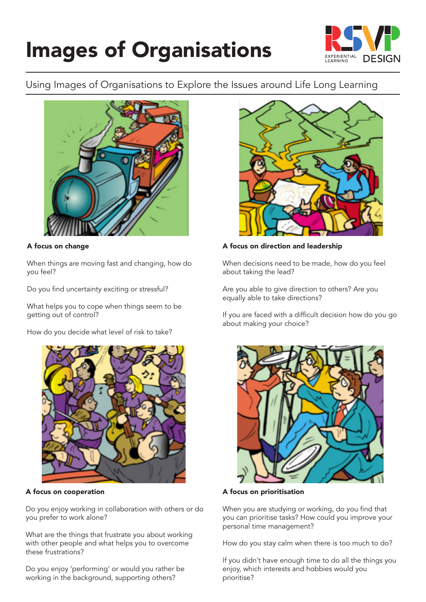

## Using Images of Organisations to Explore the Issues around Life Long Learning



### A focus on change

When things are moving fast and changing, how do you feel?

Do you find uncertainty exciting or stressful?

What helps you to cope when things seem to be getting out of control?

How do you decide what level of risk to take?



A focus on cooperation

Do you enjoy working in collaboration with others or do you prefer to work alone?

What are the things that frustrate you about working with other people and what helps you to overcome these frustrations?

Do you enjoy 'performing' or would you rather be working in the background, supporting others?



#### A focus on direction and leadership

When decisions need to be made, how do you feel about taking the lead?

Are you able to give direction to others? Are you equally able to take directions?

If you are faced with a difficult decision how do you go about making your choice?



A focus on prioritisation

When you are studying or working, do you find that you can prioritise tasks? How could you improve your personal time management?

How do you stay calm when there is too much to do?

If you didn't have enough time to do all the things you enjoy, which interests and hobbies would you prioritise?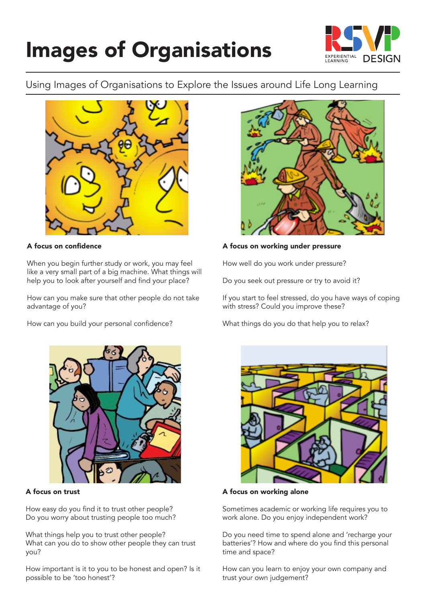

### Using Images of Organisations to Explore the Issues around Life Long Learning



### A focus on confidence

When you begin further study or work, you may feel like a very small part of a big machine. What things will help you to look after yourself and find your place?

How can you make sure that other people do not take advantage of you?

How can you build your personal confidence?



#### A focus on working under pressure

How well do you work under pressure?

Do you seek out pressure or try to avoid it?

If you start to feel stressed, do you have ways of coping with stress? Could you improve these?

What things do you do that help you to relax?



#### A focus on trust

How easy do you find it to trust other people? Do you worry about trusting people too much?

What things help you to trust other people? What can you do to show other people they can trust you?

How important is it to you to be honest and open? Is it possible to be 'too honest'?



A focus on working alone

Sometimes academic or working life requires you to work alone. Do you enjoy independent work?

Do you need time to spend alone and 'recharge your batteries'? How and where do you find this personal time and space?

How can you learn to enjoy your own company and trust your own judgement?